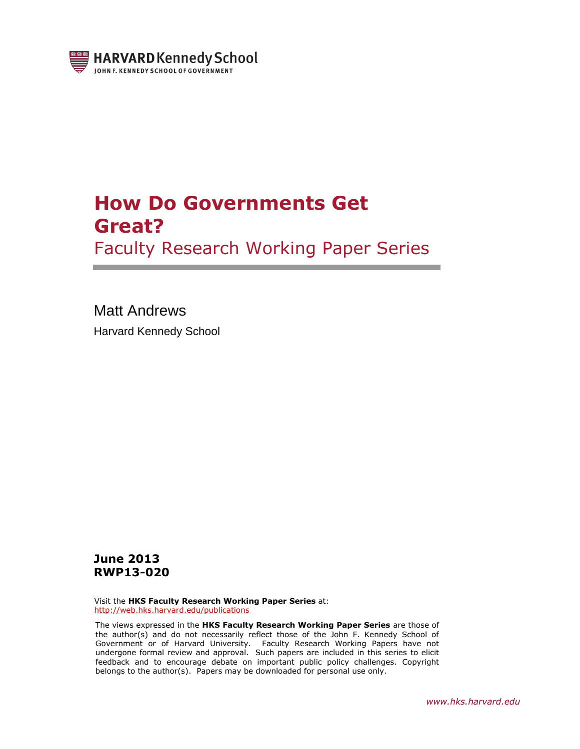

# **How Do Governments Get Great?**

Faculty Research Working Paper Series

Matt Andrews Harvard Kennedy School

## **June 2013 RWP13-020**

Visit the **HKS Faculty Research Working Paper Series** at: <http://web.hks.harvard.edu/publications>

The views expressed in the **HKS Faculty Research Working Paper Series** are those of the author(s) and do not necessarily reflect those of the John F. Kennedy School of Government or of Harvard University. Faculty Research Working Papers have not undergone formal review and approval. Such papers are included in this series to elicit feedback and to encourage debate on important public policy challenges. Copyright belongs to the author(s). Papers may be downloaded for personal use only.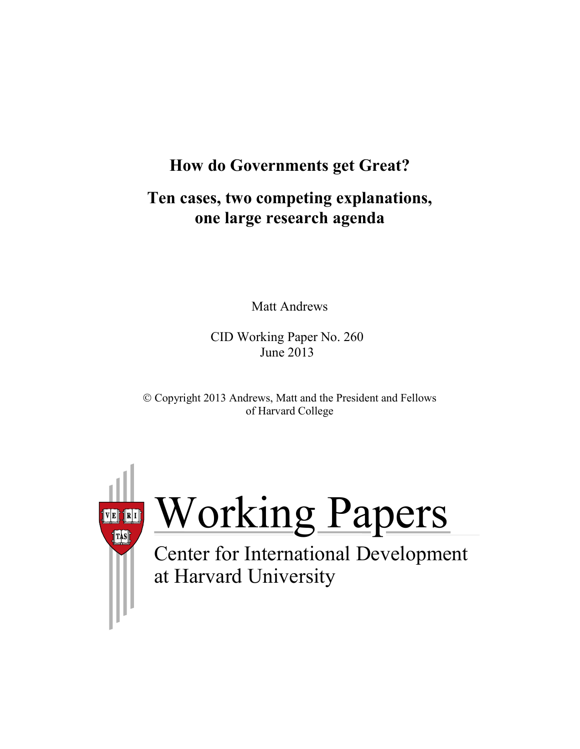# **How do Governments get Great?**

# **Ten cases, two competing explanations, one large research agenda**

Matt Andrews

CID Working Paper No. 260 June 2013

 Copyright 2013 Andrews, Matt and the President and Fellows of Harvard College

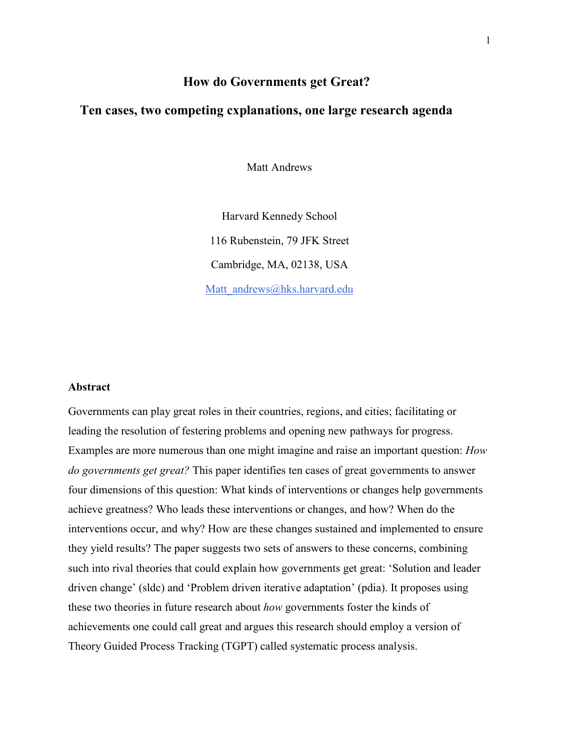### **How do Governments get Great?**

### **Ten cases, two competing cxplanations, one large research agenda**

Matt Andrews

Harvard Kennedy School 116 Rubenstein, 79 JFK Street Cambridge, MA, 02138, USA [Matt\\_andrews@hks.harvard.edu](mailto:Matt_andrews@hks.harvard.edu)

#### **Abstract**

Governments can play great roles in their countries, regions, and cities; facilitating or leading the resolution of festering problems and opening new pathways for progress. Examples are more numerous than one might imagine and raise an important question: *How do governments get great?* This paper identifies ten cases of great governments to answer four dimensions of this question: What kinds of interventions or changes help governments achieve greatness? Who leads these interventions or changes, and how? When do the interventions occur, and why? How are these changes sustained and implemented to ensure they yield results? The paper suggests two sets of answers to these concerns, combining such into rival theories that could explain how governments get great: 'Solution and leader driven change' (sldc) and 'Problem driven iterative adaptation' (pdia). It proposes using these two theories in future research about *how* governments foster the kinds of achievements one could call great and argues this research should employ a version of Theory Guided Process Tracking (TGPT) called systematic process analysis.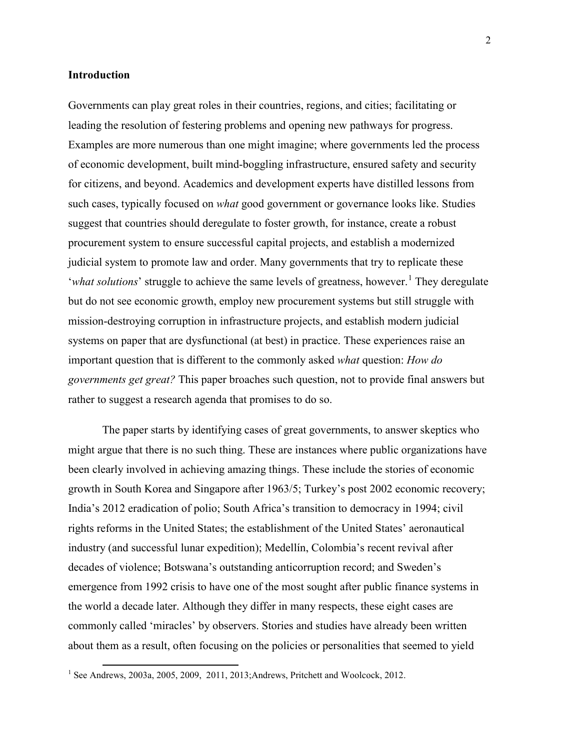#### **Introduction**

Governments can play great roles in their countries, regions, and cities; facilitating or leading the resolution of festering problems and opening new pathways for progress. Examples are more numerous than one might imagine; where governments led the process of economic development, built mind-boggling infrastructure, ensured safety and security for citizens, and beyond. Academics and development experts have distilled lessons from such cases, typically focused on *what* good government or governance looks like. Studies suggest that countries should deregulate to foster growth, for instance, create a robust procurement system to ensure successful capital projects, and establish a modernized judicial system to promote law and order. Many governments that try to replicate these '*what solutions*' struggle to achieve the same levels of greatness, however.<sup>[1](#page-3-0)</sup> They deregulate but do not see economic growth, employ new procurement systems but still struggle with mission-destroying corruption in infrastructure projects, and establish modern judicial systems on paper that are dysfunctional (at best) in practice. These experiences raise an important question that is different to the commonly asked *what* question: *How do governments get great?* This paper broaches such question, not to provide final answers but rather to suggest a research agenda that promises to do so.

The paper starts by identifying cases of great governments, to answer skeptics who might argue that there is no such thing. These are instances where public organizations have been clearly involved in achieving amazing things. These include the stories of economic growth in South Korea and Singapore after 1963/5; Turkey's post 2002 economic recovery; India's 2012 eradication of polio; South Africa's transition to democracy in 1994; civil rights reforms in the United States; the establishment of the United States' aeronautical industry (and successful lunar expedition); Medellín, Colombia's recent revival after decades of violence; Botswana's outstanding anticorruption record; and Sweden's emergence from 1992 crisis to have one of the most sought after public finance systems in the world a decade later. Although they differ in many respects, these eight cases are commonly called 'miracles' by observers. Stories and studies have already been written about them as a result, often focusing on the policies or personalities that seemed to yield

<span id="page-3-0"></span> $1$  See Andrews, 2003a, 2005, 2009, 2011, 2013; Andrews, Pritchett and Woolcock, 2012.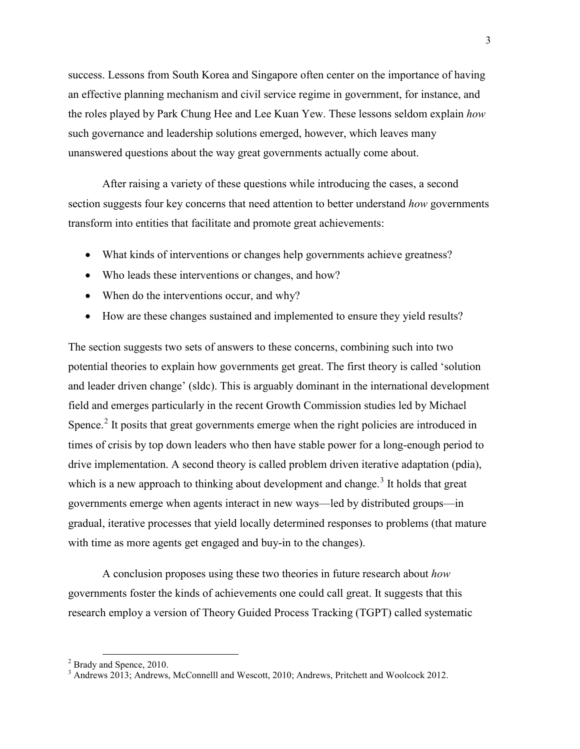success. Lessons from South Korea and Singapore often center on the importance of having an effective planning mechanism and civil service regime in government, for instance, and the roles played by Park Chung Hee and Lee Kuan Yew. These lessons seldom explain *how*  such governance and leadership solutions emerged, however, which leaves many unanswered questions about the way great governments actually come about.

After raising a variety of these questions while introducing the cases, a second section suggests four key concerns that need attention to better understand *how* governments transform into entities that facilitate and promote great achievements:

- What kinds of interventions or changes help governments achieve greatness?
- Who leads these interventions or changes, and how?
- When do the interventions occur, and why?
- How are these changes sustained and implemented to ensure they yield results?

The section suggests two sets of answers to these concerns, combining such into two potential theories to explain how governments get great. The first theory is called 'solution and leader driven change' (sldc). This is arguably dominant in the international development field and emerges particularly in the recent Growth Commission studies led by Michael Spence.<sup>[2](#page-4-0)</sup> It posits that great governments emerge when the right policies are introduced in times of crisis by top down leaders who then have stable power for a long-enough period to drive implementation. A second theory is called problem driven iterative adaptation (pdia), which is a new approach to thinking about development and change.<sup>[3](#page-4-1)</sup> It holds that great governments emerge when agents interact in new ways—led by distributed groups—in gradual, iterative processes that yield locally determined responses to problems (that mature with time as more agents get engaged and buy-in to the changes).

A conclusion proposes using these two theories in future research about *how*  governments foster the kinds of achievements one could call great. It suggests that this research employ a version of Theory Guided Process Tracking (TGPT) called systematic

<span id="page-4-0"></span><sup>&</sup>lt;sup>2</sup> Brady and Spence, 2010.

<span id="page-4-1"></span><sup>3</sup> Andrews 2013; Andrews, McConnelll and Wescott, 2010; Andrews, Pritchett and Woolcock 2012.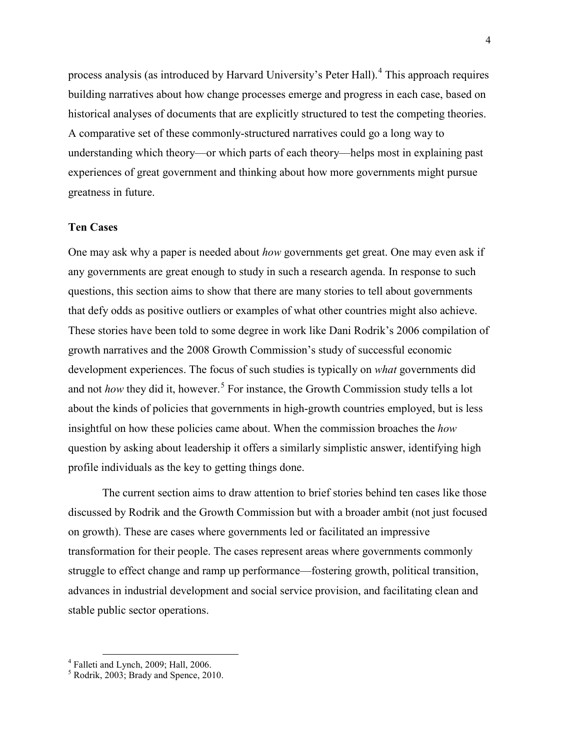process analysis (as introduced by Harvard University's Peter Hall).<sup>[4](#page-5-0)</sup> This approach requires building narratives about how change processes emerge and progress in each case, based on historical analyses of documents that are explicitly structured to test the competing theories. A comparative set of these commonly-structured narratives could go a long way to understanding which theory—or which parts of each theory—helps most in explaining past experiences of great government and thinking about how more governments might pursue greatness in future.

#### **Ten Cases**

One may ask why a paper is needed about *how* governments get great. One may even ask if any governments are great enough to study in such a research agenda. In response to such questions, this section aims to show that there are many stories to tell about governments that defy odds as positive outliers or examples of what other countries might also achieve. These stories have been told to some degree in work like Dani Rodrik's 2006 compilation of growth narratives and the 2008 Growth Commission's study of successful economic development experiences. The focus of such studies is typically on *what* governments did and not *how* they did it, however.<sup>[5](#page-5-1)</sup> For instance, the Growth Commission study tells a lot about the kinds of policies that governments in high-growth countries employed, but is less insightful on how these policies came about. When the commission broaches the *how*  question by asking about leadership it offers a similarly simplistic answer, identifying high profile individuals as the key to getting things done.

The current section aims to draw attention to brief stories behind ten cases like those discussed by Rodrik and the Growth Commission but with a broader ambit (not just focused on growth). These are cases where governments led or facilitated an impressive transformation for their people. The cases represent areas where governments commonly struggle to effect change and ramp up performance—fostering growth, political transition, advances in industrial development and social service provision, and facilitating clean and stable public sector operations.

<span id="page-5-0"></span> <sup>4</sup> Falleti and Lynch, 2009; Hall, 2006.

<span id="page-5-1"></span><sup>5</sup> Rodrik, 2003; Brady and Spence, 2010.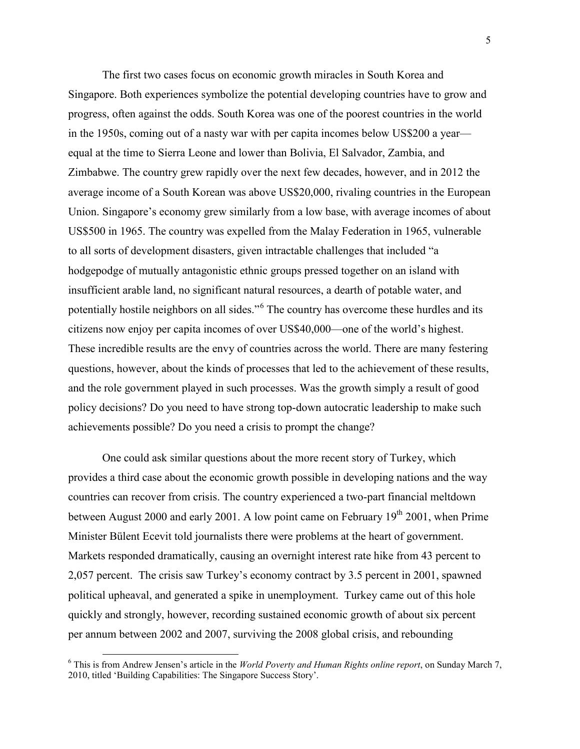The first two cases focus on economic growth miracles in South Korea and Singapore. Both experiences symbolize the potential developing countries have to grow and progress, often against the odds. South Korea was one of the poorest countries in the world in the 1950s, coming out of a nasty war with per capita incomes below US\$200 a year equal at the time to Sierra Leone and lower than Bolivia, El Salvador, Zambia, and Zimbabwe. The country grew rapidly over the next few decades, however, and in 2012 the average income of a South Korean was above US\$20,000, rivaling countries in the European Union. Singapore's economy grew similarly from a low base, with average incomes of about US\$500 in 1965. The country was expelled from the Malay Federation in 1965, vulnerable to all sorts of development disasters, given intractable challenges that included "a hodgepodge of mutually antagonistic ethnic groups pressed together on an island with insufficient arable land, no significant natural resources, a dearth of potable water, and potentially hostile neighbors on all sides."<sup>[6](#page-6-0)</sup> The country has overcome these hurdles and its citizens now enjoy per capita incomes of over US\$40,000—one of the world's highest. These incredible results are the envy of countries across the world. There are many festering questions, however, about the kinds of processes that led to the achievement of these results, and the role government played in such processes. Was the growth simply a result of good policy decisions? Do you need to have strong top-down autocratic leadership to make such achievements possible? Do you need a crisis to prompt the change?

One could ask similar questions about the more recent story of Turkey, which provides a third case about the economic growth possible in developing nations and the way countries can recover from crisis. The country experienced a two-part financial meltdown between August 2000 and early 2001. A low point came on February  $19<sup>th</sup>$  2001, when Prime Minister Bülent Ecevit told journalists there were problems at the heart of government. Markets responded dramatically, causing an overnight interest rate hike from 43 percent to 2,057 percent. The crisis saw Turkey's economy contract by 3.5 percent in 2001, spawned political upheaval, and generated a spike in unemployment. Turkey came out of this hole quickly and strongly, however, recording sustained economic growth of about six percent per annum between 2002 and 2007, surviving the 2008 global crisis, and rebounding

<span id="page-6-0"></span> <sup>6</sup> This is from Andrew Jensen's article in the *World Poverty and Human Rights online report*, on Sunday March 7, 2010, titled 'Building Capabilities: The Singapore Success Story'.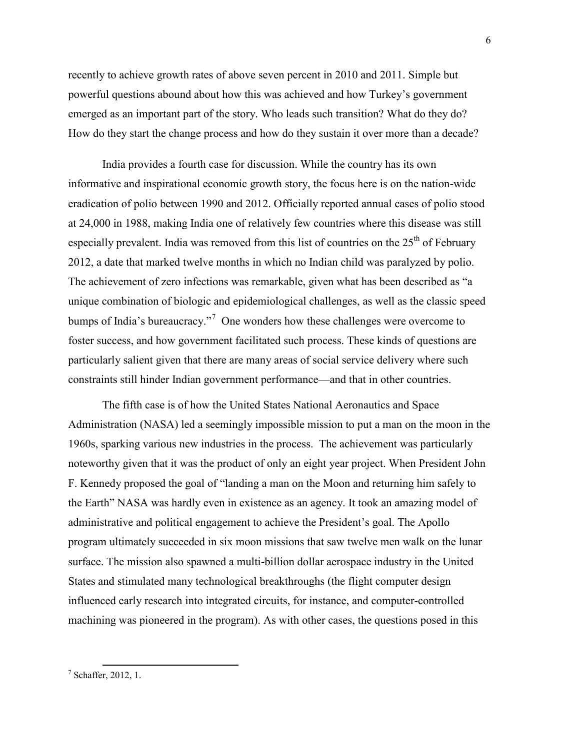recently to achieve growth rates of above seven percent in 2010 and 2011. Simple but powerful questions abound about how this was achieved and how Turkey's government emerged as an important part of the story. Who leads such transition? What do they do? How do they start the change process and how do they sustain it over more than a decade?

India provides a fourth case for discussion. While the country has its own informative and inspirational economic growth story, the focus here is on the nation-wide eradication of polio between 1990 and 2012. Officially reported annual cases of polio stood at 24,000 in 1988, making India one of relatively few countries where this disease was still especially prevalent. India was removed from this list of countries on the  $25<sup>th</sup>$  of February 2012, a date that marked twelve months in which no Indian child was paralyzed by polio. The achievement of zero infections was remarkable, given what has been described as "a unique combination of biologic and epidemiological challenges, as well as the classic speed bumps of India's bureaucracy."<sup>[7](#page-7-0)</sup> One wonders how these challenges were overcome to foster success, and how government facilitated such process. These kinds of questions are particularly salient given that there are many areas of social service delivery where such constraints still hinder Indian government performance—and that in other countries.

The fifth case is of how the United States National Aeronautics and Space Administration (NASA) led a seemingly impossible mission to put a man on the moon in the 1960s, sparking various new industries in the process. The achievement was particularly noteworthy given that it was the product of only an eight year project. When President John F. Kennedy proposed the goal of "landing a man on the Moon and returning him safely to the Earth" NASA was hardly even in existence as an agency. It took an amazing model of administrative and political engagement to achieve the President's goal. The Apollo program ultimately succeeded in six moon missions that saw twelve men walk on the lunar surface. The mission also spawned a multi-billion dollar aerospace industry in the United States and stimulated many technological breakthroughs (the flight computer design influenced early research into integrated circuits, for instance, and computer-controlled machining was pioneered in the program). As with other cases, the questions posed in this

<span id="page-7-0"></span> $<sup>7</sup>$  Schaffer, 2012, 1.</sup>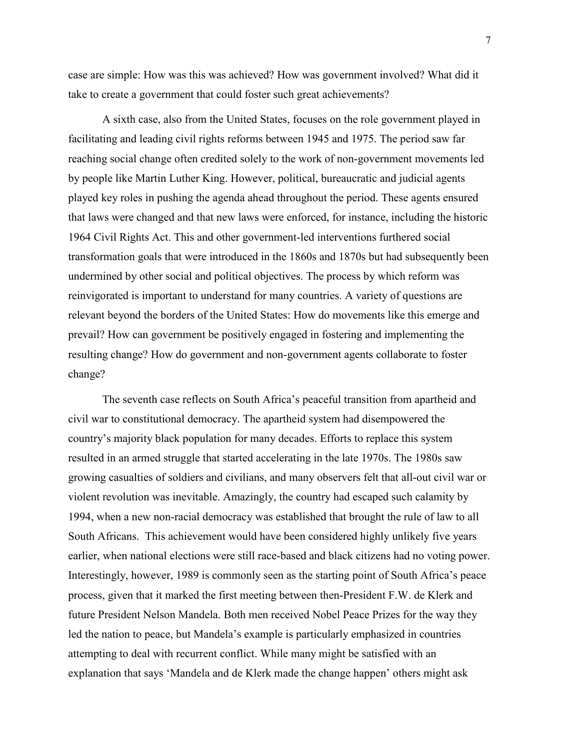case are simple: How was this was achieved? How was government involved? What did it take to create a government that could foster such great achievements?

A sixth case, also from the United States, focuses on the role government played in facilitating and leading civil rights reforms between 1945 and 1975. The period saw far reaching social change often credited solely to the work of non-government movements led by people like Martin Luther King. However, political, bureaucratic and judicial agents played key roles in pushing the agenda ahead throughout the period. These agents ensured that laws were changed and that new laws were enforced, for instance, including the historic 1964 Civil Rights Act. This and other government-led interventions furthered social transformation goals that were introduced in the 1860s and 1870s but had subsequently been undermined by other social and political objectives. The process by which reform was reinvigorated is important to understand for many countries. A variety of questions are relevant beyond the borders of the United States: How do movements like this emerge and prevail? How can government be positively engaged in fostering and implementing the resulting change? How do government and non-government agents collaborate to foster change?

The seventh case reflects on South Africa's peaceful transition from apartheid and civil war to constitutional democracy. The apartheid system had disempowered the country's majority black population for many decades. Efforts to replace this system resulted in an armed struggle that started accelerating in the late 1970s. The 1980s saw growing casualties of soldiers and civilians, and many observers felt that all-out civil war or violent revolution was inevitable. Amazingly, the country had escaped such calamity by 1994, when a new non-racial democracy was established that brought the rule of law to all South Africans. This achievement would have been considered highly unlikely five years earlier, when national elections were still race-based and black citizens had no voting power. Interestingly, however, 1989 is commonly seen as the starting point of South Africa's peace process, given that it marked the first meeting between then-President F.W. de Klerk and future President Nelson Mandela. Both men received Nobel Peace Prizes for the way they led the nation to peace, but Mandela's example is particularly emphasized in countries attempting to deal with recurrent conflict. While many might be satisfied with an explanation that says 'Mandela and de Klerk made the change happen' others might ask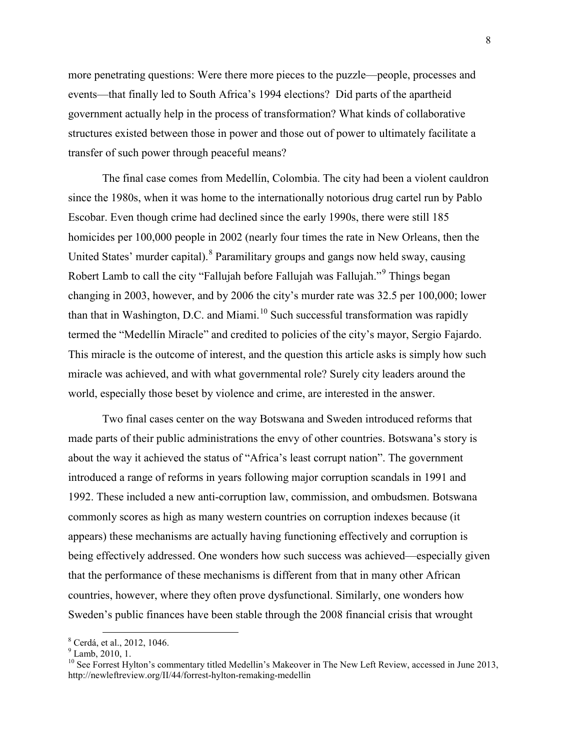more penetrating questions: Were there more pieces to the puzzle—people, processes and events—that finally led to South Africa's 1994 elections? Did parts of the apartheid government actually help in the process of transformation? What kinds of collaborative structures existed between those in power and those out of power to ultimately facilitate a transfer of such power through peaceful means?

The final case comes from Medellín, Colombia. The city had been a violent cauldron since the 1980s, when it was home to the internationally notorious drug cartel run by Pablo Escobar. Even though crime had declined since the early 1990s, there were still 185 homicides per 100,000 people in 2002 (nearly four times the rate in New Orleans, then the United States' murder capital). <sup>[8](#page-9-0)</sup> Paramilitary groups and gangs now held sway, causing Robert Lamb to call the city "Fallujah before Fallujah was Fallujah."<sup>[9](#page-9-1)</sup> Things began changing in 2003, however, and by 2006 the city's murder rate was 32.5 per 100,000; lower than that in Washington, D.C. and Miami.<sup>10</sup> Such successful transformation was rapidly termed the "Medellín Miracle" and credited to policies of the city's mayor, Sergio Fajardo. This miracle is the outcome of interest, and the question this article asks is simply how such miracle was achieved, and with what governmental role? Surely city leaders around the world, especially those beset by violence and crime, are interested in the answer.

Two final cases center on the way Botswana and Sweden introduced reforms that made parts of their public administrations the envy of other countries. Botswana's story is about the way it achieved the status of "Africa's least corrupt nation". The government introduced a range of reforms in years following major corruption scandals in 1991 and 1992. These included a new anti-corruption law, commission, and ombudsmen. Botswana commonly scores as high as many western countries on corruption indexes because (it appears) these mechanisms are actually having functioning effectively and corruption is being effectively addressed. One wonders how such success was achieved—especially given that the performance of these mechanisms is different from that in many other African countries, however, where they often prove dysfunctional. Similarly, one wonders how Sweden's public finances have been stable through the 2008 financial crisis that wrought

<span id="page-9-2"></span><span id="page-9-1"></span>

<span id="page-9-0"></span><sup>&</sup>lt;sup>8</sup> Cerdá, et al., 2012, 1046.<br><sup>9</sup> Lamb, 2010, 1.<br><sup>10</sup> See Forrest Hylton's commentary titled Medellin's Makeover in The New Left Review, accessed in June 2013, http://newleftreview.org/II/44/forrest-hylton-remaking-medellin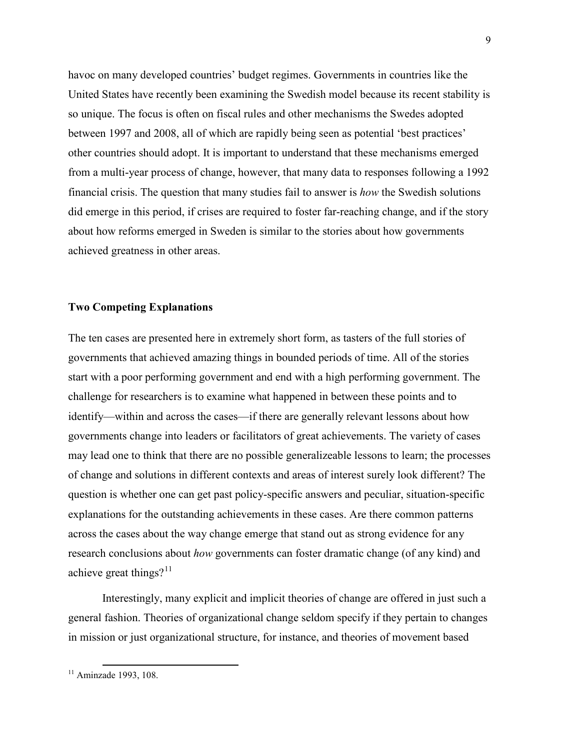havoc on many developed countries' budget regimes. Governments in countries like the United States have recently been examining the Swedish model because its recent stability is so unique. The focus is often on fiscal rules and other mechanisms the Swedes adopted between 1997 and 2008, all of which are rapidly being seen as potential 'best practices' other countries should adopt. It is important to understand that these mechanisms emerged from a multi-year process of change, however, that many data to responses following a 1992 financial crisis. The question that many studies fail to answer is *how* the Swedish solutions did emerge in this period, if crises are required to foster far-reaching change, and if the story about how reforms emerged in Sweden is similar to the stories about how governments achieved greatness in other areas.

#### **Two Competing Explanations**

The ten cases are presented here in extremely short form, as tasters of the full stories of governments that achieved amazing things in bounded periods of time. All of the stories start with a poor performing government and end with a high performing government. The challenge for researchers is to examine what happened in between these points and to identify—within and across the cases—if there are generally relevant lessons about how governments change into leaders or facilitators of great achievements. The variety of cases may lead one to think that there are no possible generalizeable lessons to learn; the processes of change and solutions in different contexts and areas of interest surely look different? The question is whether one can get past policy-specific answers and peculiar, situation-specific explanations for the outstanding achievements in these cases. Are there common patterns across the cases about the way change emerge that stand out as strong evidence for any research conclusions about *how* governments can foster dramatic change (of any kind) and achieve great things? $11$ 

Interestingly, many explicit and implicit theories of change are offered in just such a general fashion. Theories of organizational change seldom specify if they pertain to changes in mission or just organizational structure, for instance, and theories of movement based

<span id="page-10-0"></span> $11$  Aminzade 1993, 108.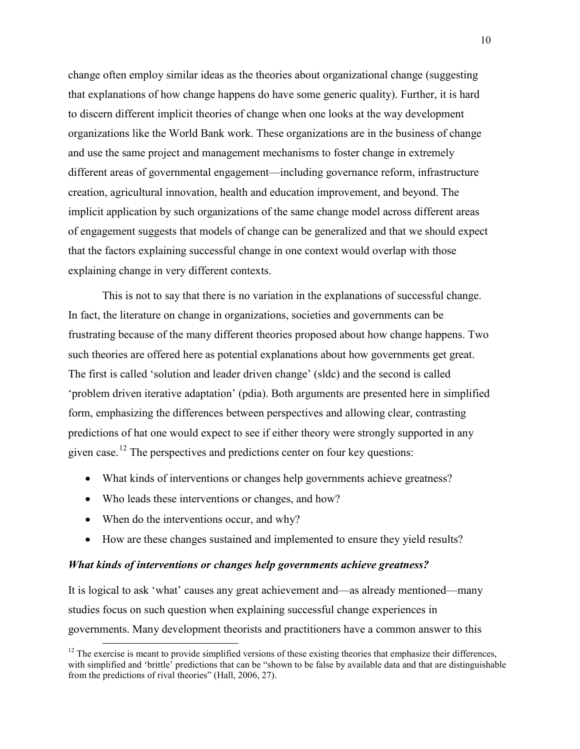change often employ similar ideas as the theories about organizational change (suggesting that explanations of how change happens do have some generic quality). Further, it is hard to discern different implicit theories of change when one looks at the way development organizations like the World Bank work. These organizations are in the business of change and use the same project and management mechanisms to foster change in extremely different areas of governmental engagement—including governance reform, infrastructure creation, agricultural innovation, health and education improvement, and beyond. The implicit application by such organizations of the same change model across different areas of engagement suggests that models of change can be generalized and that we should expect that the factors explaining successful change in one context would overlap with those explaining change in very different contexts.

This is not to say that there is no variation in the explanations of successful change. In fact, the literature on change in organizations, societies and governments can be frustrating because of the many different theories proposed about how change happens. Two such theories are offered here as potential explanations about how governments get great. The first is called 'solution and leader driven change' (sldc) and the second is called 'problem driven iterative adaptation' (pdia). Both arguments are presented here in simplified form, emphasizing the differences between perspectives and allowing clear, contrasting predictions of hat one would expect to see if either theory were strongly supported in any given case.[12](#page-11-0) The perspectives and predictions center on four key questions:

- What kinds of interventions or changes help governments achieve greatness?
- Who leads these interventions or changes, and how?
- When do the interventions occur, and why?
- How are these changes sustained and implemented to ensure they yield results?

#### *What kinds of interventions or changes help governments achieve greatness?*

It is logical to ask 'what' causes any great achievement and—as already mentioned—many studies focus on such question when explaining successful change experiences in governments. Many development theorists and practitioners have a common answer to this

<span id="page-11-0"></span> $12$  The exercise is meant to provide simplified versions of these existing theories that emphasize their differences, with simplified and 'brittle' predictions that can be "shown to be false by available data and that are distinguishable from the predictions of rival theories" (Hall, 2006, 27).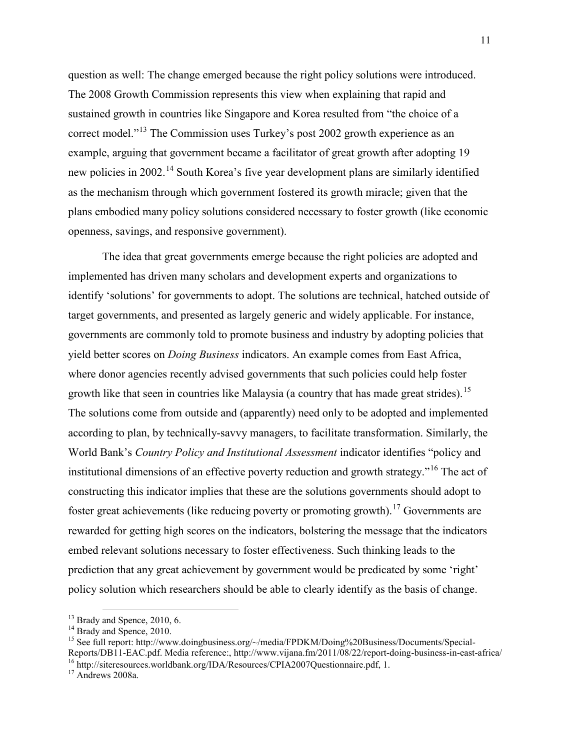question as well: The change emerged because the right policy solutions were introduced. The 2008 Growth Commission represents this view when explaining that rapid and sustained growth in countries like Singapore and Korea resulted from "the choice of a correct model."[13](#page-12-0) The Commission uses Turkey's post 2002 growth experience as an example, arguing that government became a facilitator of great growth after adopting 19 new policies in 2002.<sup>[14](#page-12-1)</sup> South Korea's five year development plans are similarly identified as the mechanism through which government fostered its growth miracle; given that the plans embodied many policy solutions considered necessary to foster growth (like economic openness, savings, and responsive government).

The idea that great governments emerge because the right policies are adopted and implemented has driven many scholars and development experts and organizations to identify 'solutions' for governments to adopt. The solutions are technical, hatched outside of target governments, and presented as largely generic and widely applicable. For instance, governments are commonly told to promote business and industry by adopting policies that yield better scores on *Doing Business* indicators. An example comes from East Africa, where donor agencies recently advised governments that such policies could help foster growth like that seen in countries like Malaysia (a country that has made great strides).<sup>[15](#page-12-2)</sup> The solutions come from outside and (apparently) need only to be adopted and implemented according to plan, by technically-savvy managers, to facilitate transformation. Similarly, the World Bank's *Country Policy and Institutional Assessment* indicator identifies "policy and institutional dimensions of an effective poverty reduction and growth strategy."[16](#page-12-3) The act of constructing this indicator implies that these are the solutions governments should adopt to foster great achievements (like reducing poverty or promoting growth).<sup>[17](#page-12-4)</sup> Governments are rewarded for getting high scores on the indicators, bolstering the message that the indicators embed relevant solutions necessary to foster effectiveness. Such thinking leads to the prediction that any great achievement by government would be predicated by some 'right' policy solution which researchers should be able to clearly identify as the basis of change.

<span id="page-12-0"></span>

<span id="page-12-2"></span><span id="page-12-1"></span>

<sup>&</sup>lt;sup>13</sup> Brady and Spence, 2010, 6.<br><sup>14</sup> Brady and Spence, 2010.<br><sup>15</sup> See full report: http://www.doingbusiness.org/~/media/FPDKM/Doing%20Business/Documents/Special-Reports/DB11-EAC.pdf. Media reference:, http://www.vijana.fm/2011/08/22/report-doing-business-in-east-africa/ <sup>16</sup> http://siteresources.worldbank.org/IDA/Resources/CPIA2007Questionnaire.pdf, 1.<br><sup>17</sup> Andrews 2008a.

<span id="page-12-4"></span><span id="page-12-3"></span>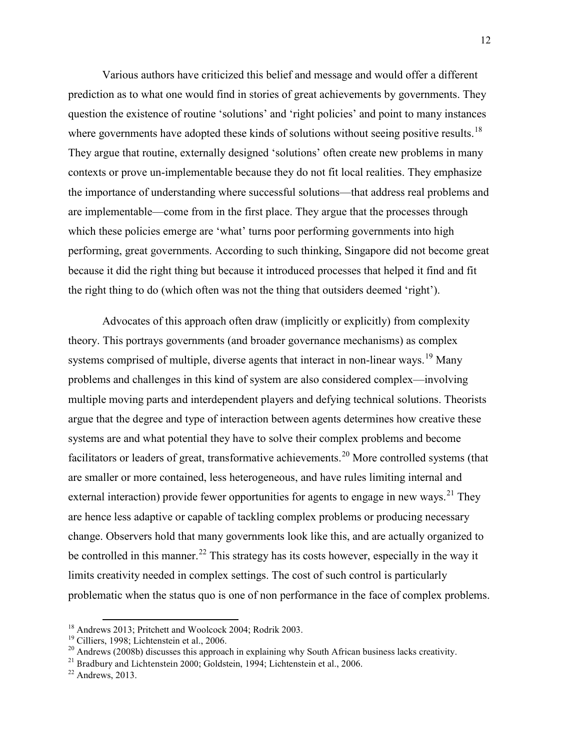Various authors have criticized this belief and message and would offer a different prediction as to what one would find in stories of great achievements by governments. They question the existence of routine 'solutions' and 'right policies' and point to many instances where governments have adopted these kinds of solutions without seeing positive results.<sup>[18](#page-13-0)</sup> They argue that routine, externally designed 'solutions' often create new problems in many contexts or prove un-implementable because they do not fit local realities. They emphasize the importance of understanding where successful solutions—that address real problems and are implementable—come from in the first place. They argue that the processes through which these policies emerge are 'what' turns poor performing governments into high performing, great governments. According to such thinking, Singapore did not become great because it did the right thing but because it introduced processes that helped it find and fit the right thing to do (which often was not the thing that outsiders deemed 'right').

Advocates of this approach often draw (implicitly or explicitly) from complexity theory. This portrays governments (and broader governance mechanisms) as complex systems comprised of multiple, diverse agents that interact in non-linear ways.<sup>[19](#page-13-1)</sup> Many problems and challenges in this kind of system are also considered complex—involving multiple moving parts and interdependent players and defying technical solutions. Theorists argue that the degree and type of interaction between agents determines how creative these systems are and what potential they have to solve their complex problems and become facilitators or leaders of great, transformative achievements.<sup>[20](#page-13-2)</sup> More controlled systems (that are smaller or more contained, less heterogeneous, and have rules limiting internal and external interaction) provide fewer opportunities for agents to engage in new ways.<sup>[21](#page-13-3)</sup> They are hence less adaptive or capable of tackling complex problems or producing necessary change. Observers hold that many governments look like this, and are actually organized to be controlled in this manner.<sup>[22](#page-13-4)</sup> This strategy has its costs however, especially in the way it limits creativity needed in complex settings. The cost of such control is particularly problematic when the status quo is one of non performance in the face of complex problems.

<span id="page-13-2"></span><span id="page-13-1"></span>

<span id="page-13-0"></span><sup>&</sup>lt;sup>18</sup> Andrews 2013; Pritchett and Woolcock 2004; Rodrik 2003.<br><sup>19</sup> Cilliers, 1998; Lichtenstein et al., 2006.<br><sup>20</sup> Andrews (2008b) discusses this approach in explaining why South African business lacks creativity.<br><sup>21</sup> Bra

<span id="page-13-4"></span><span id="page-13-3"></span> $22$  Andrews, 2013.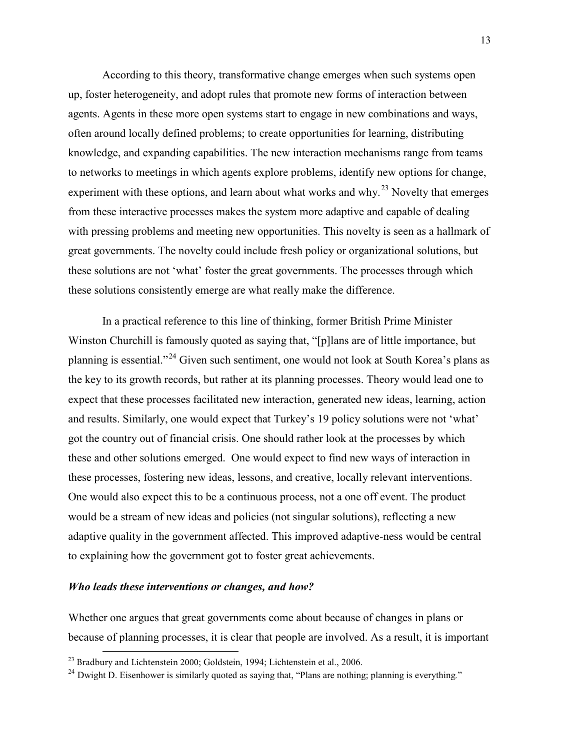According to this theory, transformative change emerges when such systems open up, foster heterogeneity, and adopt rules that promote new forms of interaction between agents. Agents in these more open systems start to engage in new combinations and ways, often around locally defined problems; to create opportunities for learning, distributing knowledge, and expanding capabilities. The new interaction mechanisms range from teams to networks to meetings in which agents explore problems, identify new options for change, experiment with these options, and learn about what works and why.<sup>[23](#page-14-0)</sup> Novelty that emerges from these interactive processes makes the system more adaptive and capable of dealing with pressing problems and meeting new opportunities. This novelty is seen as a hallmark of great governments. The novelty could include fresh policy or organizational solutions, but these solutions are not 'what' foster the great governments. The processes through which these solutions consistently emerge are what really make the difference.

In a practical reference to this line of thinking, former British Prime Minister Winston Churchill is famously quoted as saying that, "[p]lans are of little importance, but planning is essential."[24](#page-14-1) Given such sentiment, one would not look at South Korea's plans as the key to its growth records, but rather at its planning processes. Theory would lead one to expect that these processes facilitated new interaction, generated new ideas, learning, action and results. Similarly, one would expect that Turkey's 19 policy solutions were not 'what' got the country out of financial crisis. One should rather look at the processes by which these and other solutions emerged. One would expect to find new ways of interaction in these processes, fostering new ideas, lessons, and creative, locally relevant interventions. One would also expect this to be a continuous process, not a one off event. The product would be a stream of new ideas and policies (not singular solutions), reflecting a new adaptive quality in the government affected. This improved adaptive-ness would be central to explaining how the government got to foster great achievements.

#### *Who leads these interventions or changes, and how?*

Whether one argues that great governments come about because of changes in plans or because of planning processes, it is clear that people are involved. As a result, it is important

<span id="page-14-0"></span> $^{23}$  Bradbury and Lichtenstein 2000; Goldstein, 1994; Lichtenstein et al., 2006.

<span id="page-14-1"></span><sup>&</sup>lt;sup>24</sup> Dwight D. Eisenhower is similarly quoted as saying that, "Plans are nothing; planning is everything."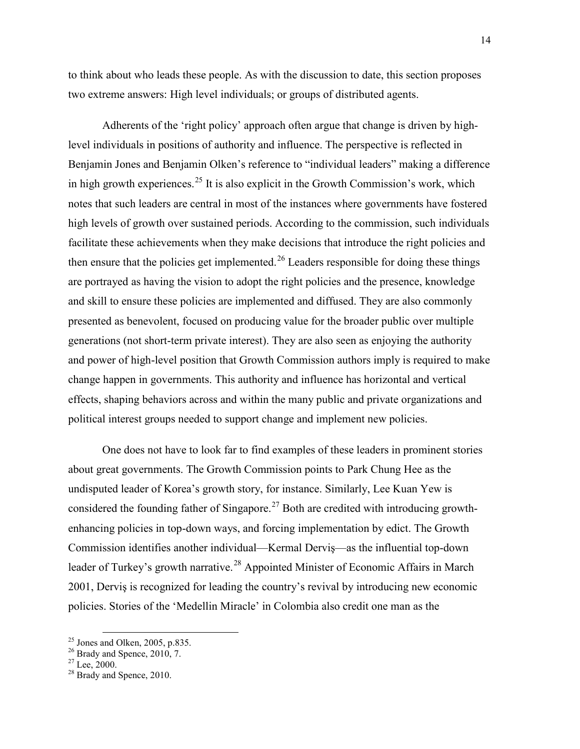to think about who leads these people. As with the discussion to date, this section proposes two extreme answers: High level individuals; or groups of distributed agents.

Adherents of the 'right policy' approach often argue that change is driven by highlevel individuals in positions of authority and influence. The perspective is reflected in Benjamin Jones and Benjamin Olken's reference to "individual leaders" making a difference in high growth experiences.<sup>[25](#page-15-0)</sup> It is also explicit in the Growth Commission's work, which notes that such leaders are central in most of the instances where governments have fostered high levels of growth over sustained periods. According to the commission, such individuals facilitate these achievements when they make decisions that introduce the right policies and then ensure that the policies get implemented.<sup>26</sup> Leaders responsible for doing these things are portrayed as having the vision to adopt the right policies and the presence, knowledge and skill to ensure these policies are implemented and diffused. They are also commonly presented as benevolent, focused on producing value for the broader public over multiple generations (not short-term private interest). They are also seen as enjoying the authority and power of high-level position that Growth Commission authors imply is required to make change happen in governments. This authority and influence has horizontal and vertical effects, shaping behaviors across and within the many public and private organizations and political interest groups needed to support change and implement new policies.

One does not have to look far to find examples of these leaders in prominent stories about great governments. The Growth Commission points to Park Chung Hee as the undisputed leader of Korea's growth story, for instance. Similarly, Lee Kuan Yew is considered the founding father of Singapore.<sup>[27](#page-15-2)</sup> Both are credited with introducing growthenhancing policies in top-down ways, and forcing implementation by edict. The Growth Commission identifies another individual—Kermal Derviş—as the influential top-down leader of Turkey's growth narrative.<sup>[28](#page-15-3)</sup> Appointed Minister of Economic Affairs in March 2001, Derviş is recognized for leading the country's revival by introducing new economic policies. Stories of the 'Medellin Miracle' in Colombia also credit one man as the

<span id="page-15-1"></span><span id="page-15-0"></span><sup>&</sup>lt;sup>25</sup> Jones and Olken, 2005, p.835.<br><sup>26</sup> Brady and Spence, 2010, 7.<br><sup>27</sup> Lee, 2000. <sup>28</sup> Brady and Spence, 2010.

<span id="page-15-2"></span>

<span id="page-15-3"></span>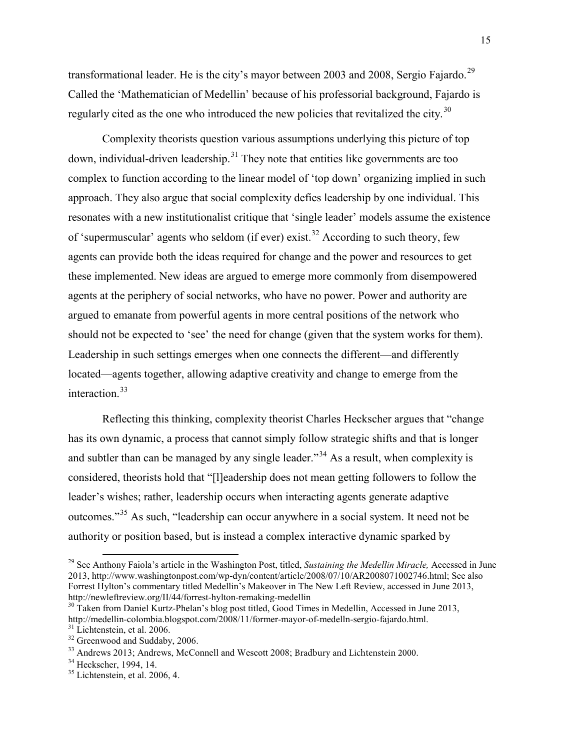transformational leader. He is the city's mayor between 2003 and 2008, Sergio Fajardo.<sup>[29](#page-16-0)</sup> Called the 'Mathematician of Medellin' because of his professorial background, Fajardo is regularly cited as the one who introduced the new policies that revitalized the city.<sup>[30](#page-16-1)</sup>

Complexity theorists question various assumptions underlying this picture of top down, individual-driven leadership.<sup>31</sup> They note that entities like governments are too complex to function according to the linear model of 'top down' organizing implied in such approach. They also argue that social complexity defies leadership by one individual. This resonates with a new institutionalist critique that 'single leader' models assume the existence of 'supermuscular' agents who seldom (if ever) exist.<sup>[32](#page-16-3)</sup> According to such theory, few agents can provide both the ideas required for change and the power and resources to get these implemented. New ideas are argued to emerge more commonly from disempowered agents at the periphery of social networks, who have no power. Power and authority are argued to emanate from powerful agents in more central positions of the network who should not be expected to 'see' the need for change (given that the system works for them). Leadership in such settings emerges when one connects the different—and differently located—agents together, allowing adaptive creativity and change to emerge from the interaction.[33](#page-16-4)

Reflecting this thinking, complexity theorist Charles Heckscher argues that "change has its own dynamic, a process that cannot simply follow strategic shifts and that is longer and subtler than can be managed by any single leader.<sup>[34](#page-16-5)</sup> As a result, when complexity is considered, theorists hold that "[l]eadership does not mean getting followers to follow the leader's wishes; rather, leadership occurs when interacting agents generate adaptive outcomes."[35](#page-16-6) As such, "leadership can occur anywhere in a social system. It need not be authority or position based, but is instead a complex interactive dynamic sparked by

<span id="page-16-0"></span> <sup>29</sup> See Anthony Faiola's article in the Washington Post, titled, *Sustaining the Medellin Miracle,* Accessed in June 2013, http://www.washingtonpost.com/wp-dyn/content/article/2008/07/10/AR2008071002746.html; See also Forrest Hylton's commentary titled Medellin's Makeover in The New Left Review, accessed in June 2013, http://newleftreview.org/II/44/forrest-hylton-remaking-medellin<br><sup>30</sup> Taken from Daniel Kurtz-Phelan's blog post titled, Good Times in Medellin, Accessed in June 2013,

<span id="page-16-1"></span>http://medellin-colombia.blogspot.com/2008/11/former-mayor-of-medelln-sergio-fajardo.html.<br><sup>31</sup> Lichtenstein, et al. 2006.<br><sup>32</sup> Greenwood and Suddaby, 2006.

<span id="page-16-2"></span>

<span id="page-16-5"></span><span id="page-16-4"></span><span id="page-16-3"></span><sup>&</sup>lt;sup>33</sup> Andrews 2013; Andrews, McConnell and Wescott 2008; Bradbury and Lichtenstein 2000.<br><sup>34</sup> Heckscher, 1994, 14.<br><sup>35</sup> Lichtenstein, et al. 2006, 4.

<span id="page-16-6"></span>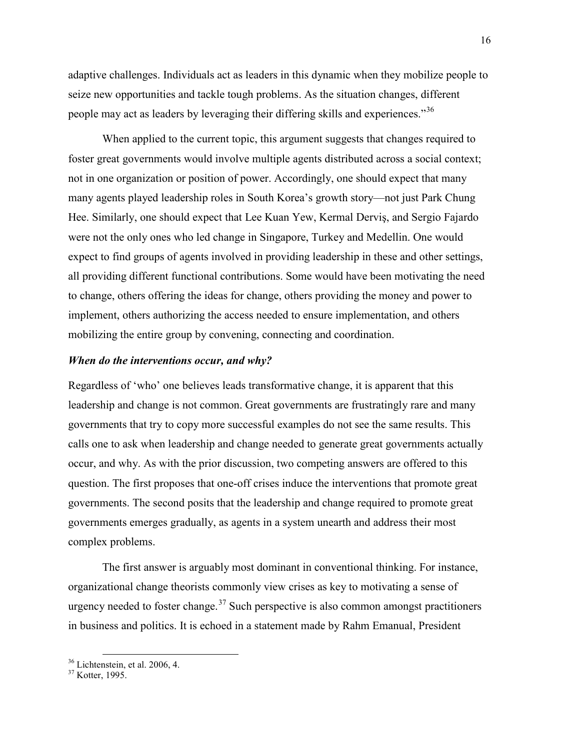adaptive challenges. Individuals act as leaders in this dynamic when they mobilize people to seize new opportunities and tackle tough problems. As the situation changes, different people may act as leaders by leveraging their differing skills and experiences."<sup>[36](#page-17-0)</sup>

When applied to the current topic, this argument suggests that changes required to foster great governments would involve multiple agents distributed across a social context; not in one organization or position of power. Accordingly, one should expect that many many agents played leadership roles in South Korea's growth story—not just Park Chung Hee. Similarly, one should expect that Lee Kuan Yew, Kermal Derviş, and Sergio Fajardo were not the only ones who led change in Singapore, Turkey and Medellin. One would expect to find groups of agents involved in providing leadership in these and other settings, all providing different functional contributions. Some would have been motivating the need to change, others offering the ideas for change, others providing the money and power to implement, others authorizing the access needed to ensure implementation, and others mobilizing the entire group by convening, connecting and coordination.

#### *When do the interventions occur, and why?*

Regardless of 'who' one believes leads transformative change, it is apparent that this leadership and change is not common. Great governments are frustratingly rare and many governments that try to copy more successful examples do not see the same results. This calls one to ask when leadership and change needed to generate great governments actually occur, and why. As with the prior discussion, two competing answers are offered to this question. The first proposes that one-off crises induce the interventions that promote great governments. The second posits that the leadership and change required to promote great governments emerges gradually, as agents in a system unearth and address their most complex problems.

The first answer is arguably most dominant in conventional thinking. For instance, organizational change theorists commonly view crises as key to motivating a sense of urgency needed to foster change.<sup>37</sup> Such perspective is also common amongst practitioners in business and politics. It is echoed in a statement made by Rahm Emanual, President

<span id="page-17-1"></span><span id="page-17-0"></span> $36 \text{ Lichtenstein}$ , et al. 2006, 4.<br> $37 \text{ Kotter}$ , 1995.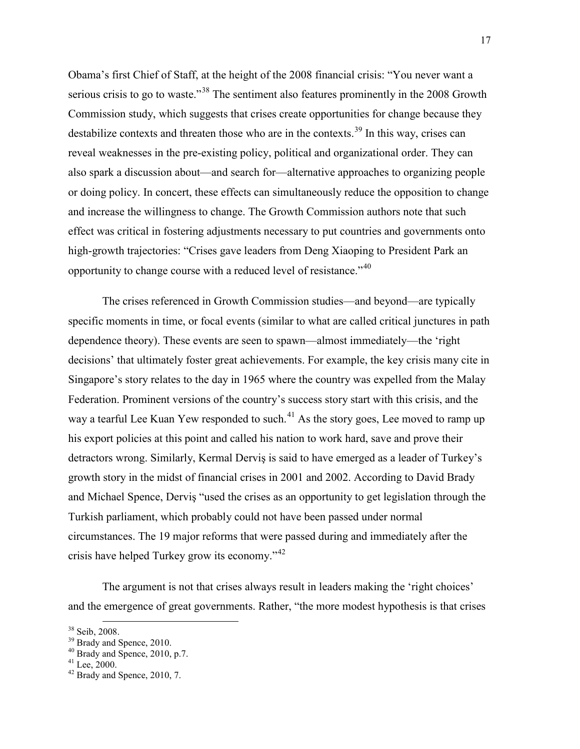Obama's first Chief of Staff, at the height of the 2008 financial crisis: "You never want a serious crisis to go to waste."<sup>[38](#page-18-0)</sup> The sentiment also features prominently in the 2008 Growth Commission study, which suggests that crises create opportunities for change because they destabilize contexts and threaten those who are in the contexts.<sup>[39](#page-18-1)</sup> In this way, crises can reveal weaknesses in the pre-existing policy, political and organizational order. They can also spark a discussion about—and search for—alternative approaches to organizing people or doing policy. In concert, these effects can simultaneously reduce the opposition to change and increase the willingness to change. The Growth Commission authors note that such effect was critical in fostering adjustments necessary to put countries and governments onto high-growth trajectories: "Crises gave leaders from Deng Xiaoping to President Park an opportunity to change course with a reduced level of resistance."[40](#page-18-2)

The crises referenced in Growth Commission studies—and beyond—are typically specific moments in time, or focal events (similar to what are called critical junctures in path dependence theory). These events are seen to spawn—almost immediately—the 'right decisions' that ultimately foster great achievements. For example, the key crisis many cite in Singapore's story relates to the day in 1965 where the country was expelled from the Malay Federation. Prominent versions of the country's success story start with this crisis, and the way a tearful Lee Kuan Yew responded to such.<sup>[41](#page-18-3)</sup> As the story goes, Lee moved to ramp up his export policies at this point and called his nation to work hard, save and prove their detractors wrong. Similarly, Kermal Derviş is said to have emerged as a leader of Turkey's growth story in the midst of financial crises in 2001 and 2002. According to David Brady and Michael Spence, Derviş "used the crises as an opportunity to get legislation through the Turkish parliament, which probably could not have been passed under normal circumstances. The 19 major reforms that were passed during and immediately after the crisis have helped Turkey grow its economy."<sup>[42](#page-18-4)</sup>

The argument is not that crises always result in leaders making the 'right choices' and the emergence of great governments. Rather, "the more modest hypothesis is that crises

<span id="page-18-1"></span><span id="page-18-0"></span><sup>&</sup>lt;sup>38</sup> Seib, 2008.<br><sup>39</sup> Brady and Spence, 2010.<br><sup>40</sup> Brady and Spence, 2010, p.7.<br><sup>41</sup> Lee, 2000.<br><sup>42</sup> Brady and Spence, 2010, 7.

<span id="page-18-3"></span><span id="page-18-2"></span>

<span id="page-18-4"></span>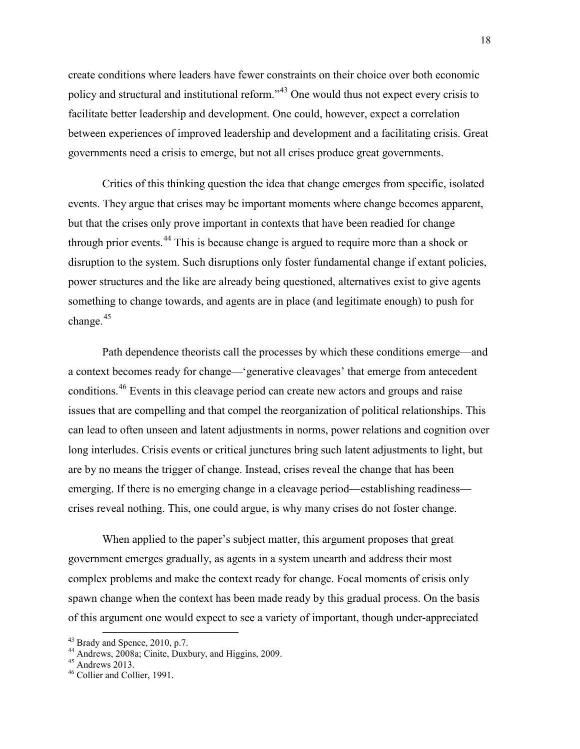create conditions where leaders have fewer constraints on their choice over both economic policy and structural and institutional reform."[43](#page-19-0) One would thus not expect every crisis to facilitate better leadership and development. One could, however, expect a correlation between experiences of improved leadership and development and a facilitating crisis. Great governments need a crisis to emerge, but not all crises produce great governments.

Critics of this thinking question the idea that change emerges from specific, isolated events. They argue that crises may be important moments where change becomes apparent, but that the crises only prove important in contexts that have been readied for change through prior events.<sup>[44](#page-19-1)</sup> This is because change is argued to require more than a shock or disruption to the system. Such disruptions only foster fundamental change if extant policies, power structures and the like are already being questioned, alternatives exist to give agents something to change towards, and agents are in place (and legitimate enough) to push for change.<sup>45</sup>

Path dependence theorists call the processes by which these conditions emerge—and a context becomes ready for change—'generative cleavages' that emerge from antecedent conditions.[46](#page-19-3) Events in this cleavage period can create new actors and groups and raise issues that are compelling and that compel the reorganization of political relationships. This can lead to often unseen and latent adjustments in norms, power relations and cognition over long interludes. Crisis events or critical junctures bring such latent adjustments to light, but are by no means the trigger of change. Instead, crises reveal the change that has been emerging. If there is no emerging change in a cleavage period—establishing readiness crises reveal nothing. This, one could argue, is why many crises do not foster change.

When applied to the paper's subject matter, this argument proposes that great government emerges gradually, as agents in a system unearth and address their most complex problems and make the context ready for change. Focal moments of crisis only spawn change when the context has been made ready by this gradual process. On the basis of this argument one would expect to see a variety of important, though under-appreciated

<span id="page-19-1"></span><span id="page-19-0"></span><sup>&</sup>lt;sup>43</sup> Brady and Spence, 2010, p.7.<br><sup>44</sup> Andrews, 2008a; Cinite, Duxbury, and Higgins, 2009.<br><sup>45</sup> Andrews 2013.<br><sup>46</sup> Collier and Collier, 1991.

<span id="page-19-2"></span>

<span id="page-19-3"></span>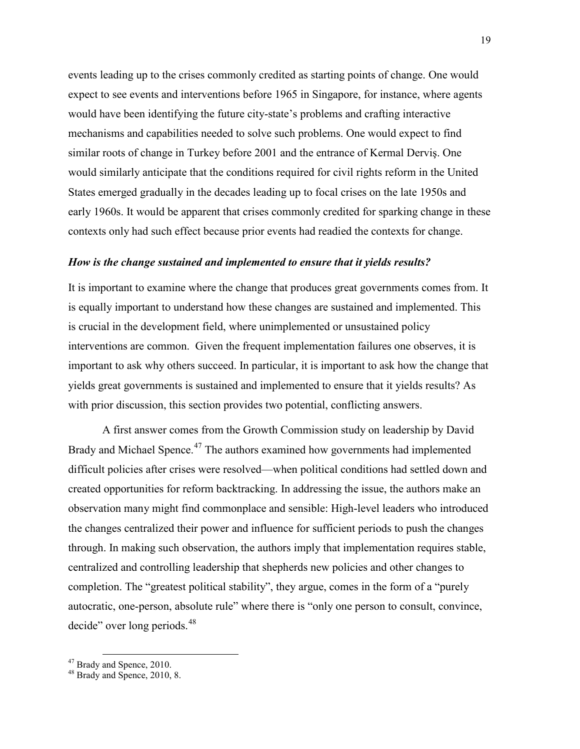events leading up to the crises commonly credited as starting points of change. One would expect to see events and interventions before 1965 in Singapore, for instance, where agents would have been identifying the future city-state's problems and crafting interactive mechanisms and capabilities needed to solve such problems. One would expect to find similar roots of change in Turkey before 2001 and the entrance of Kermal Derviş. One would similarly anticipate that the conditions required for civil rights reform in the United States emerged gradually in the decades leading up to focal crises on the late 1950s and early 1960s. It would be apparent that crises commonly credited for sparking change in these contexts only had such effect because prior events had readied the contexts for change.

#### *How is the change sustained and implemented to ensure that it yields results?*

It is important to examine where the change that produces great governments comes from. It is equally important to understand how these changes are sustained and implemented. This is crucial in the development field, where unimplemented or unsustained policy interventions are common. Given the frequent implementation failures one observes, it is important to ask why others succeed. In particular, it is important to ask how the change that yields great governments is sustained and implemented to ensure that it yields results? As with prior discussion, this section provides two potential, conflicting answers.

A first answer comes from the Growth Commission study on leadership by David Brady and Michael Spence.<sup>[47](#page-20-0)</sup> The authors examined how governments had implemented difficult policies after crises were resolved—when political conditions had settled down and created opportunities for reform backtracking. In addressing the issue, the authors make an observation many might find commonplace and sensible: High-level leaders who introduced the changes centralized their power and influence for sufficient periods to push the changes through. In making such observation, the authors imply that implementation requires stable, centralized and controlling leadership that shepherds new policies and other changes to completion. The "greatest political stability", they argue, comes in the form of a "purely autocratic, one-person, absolute rule" where there is "only one person to consult, convince, decide" over long periods.<sup>[48](#page-20-1)</sup>

<span id="page-20-1"></span><span id="page-20-0"></span> $47 \text{ Brady}$  and Spence, 2010.<br> $48 \text{ Brady}$  and Spence, 2010, 8.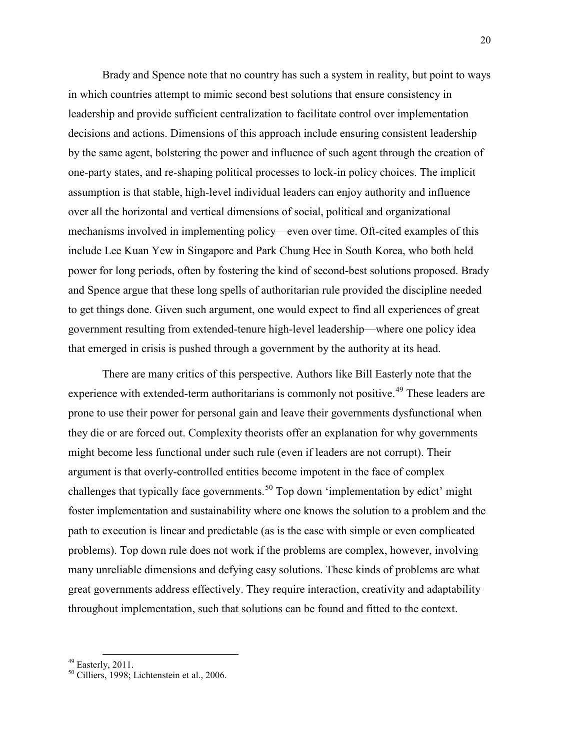Brady and Spence note that no country has such a system in reality, but point to ways in which countries attempt to mimic second best solutions that ensure consistency in leadership and provide sufficient centralization to facilitate control over implementation decisions and actions. Dimensions of this approach include ensuring consistent leadership by the same agent, bolstering the power and influence of such agent through the creation of one-party states, and re-shaping political processes to lock-in policy choices. The implicit assumption is that stable, high-level individual leaders can enjoy authority and influence over all the horizontal and vertical dimensions of social, political and organizational mechanisms involved in implementing policy—even over time. Oft-cited examples of this include Lee Kuan Yew in Singapore and Park Chung Hee in South Korea, who both held power for long periods, often by fostering the kind of second-best solutions proposed. Brady and Spence argue that these long spells of authoritarian rule provided the discipline needed to get things done. Given such argument, one would expect to find all experiences of great government resulting from extended-tenure high-level leadership—where one policy idea that emerged in crisis is pushed through a government by the authority at its head.

There are many critics of this perspective. Authors like Bill Easterly note that the experience with extended-term authoritarians is commonly not positive.<sup>[49](#page-21-0)</sup> These leaders are prone to use their power for personal gain and leave their governments dysfunctional when they die or are forced out. Complexity theorists offer an explanation for why governments might become less functional under such rule (even if leaders are not corrupt). Their argument is that overly-controlled entities become impotent in the face of complex challenges that typically face governments.<sup>[50](#page-21-1)</sup> Top down 'implementation by edict' might foster implementation and sustainability where one knows the solution to a problem and the path to execution is linear and predictable (as is the case with simple or even complicated problems). Top down rule does not work if the problems are complex, however, involving many unreliable dimensions and defying easy solutions. These kinds of problems are what great governments address effectively. They require interaction, creativity and adaptability throughout implementation, such that solutions can be found and fitted to the context.

<span id="page-21-1"></span><span id="page-21-0"></span> $^{49}$  Easterly, 2011.<br><sup>50</sup> Cilliers, 1998; Lichtenstein et al., 2006.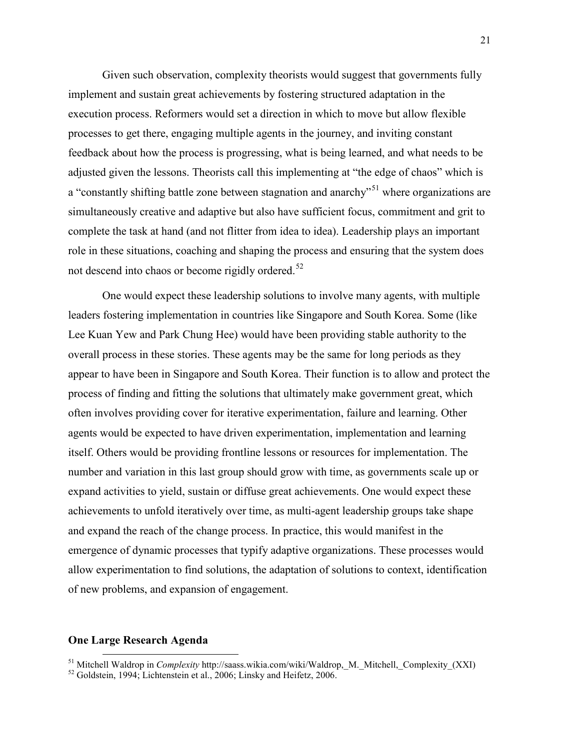Given such observation, complexity theorists would suggest that governments fully implement and sustain great achievements by fostering structured adaptation in the execution process. Reformers would set a direction in which to move but allow flexible processes to get there, engaging multiple agents in the journey, and inviting constant feedback about how the process is progressing, what is being learned, and what needs to be adjusted given the lessons. Theorists call this implementing at "the edge of chaos" which is a "constantly shifting battle zone between stagnation and anarchy"<sup>[51](#page-22-0)</sup> where organizations are simultaneously creative and adaptive but also have sufficient focus, commitment and grit to complete the task at hand (and not flitter from idea to idea). Leadership plays an important role in these situations, coaching and shaping the process and ensuring that the system does not descend into chaos or become rigidly ordered.<sup>52</sup>

One would expect these leadership solutions to involve many agents, with multiple leaders fostering implementation in countries like Singapore and South Korea. Some (like Lee Kuan Yew and Park Chung Hee) would have been providing stable authority to the overall process in these stories. These agents may be the same for long periods as they appear to have been in Singapore and South Korea. Their function is to allow and protect the process of finding and fitting the solutions that ultimately make government great, which often involves providing cover for iterative experimentation, failure and learning. Other agents would be expected to have driven experimentation, implementation and learning itself. Others would be providing frontline lessons or resources for implementation. The number and variation in this last group should grow with time, as governments scale up or expand activities to yield, sustain or diffuse great achievements. One would expect these achievements to unfold iteratively over time, as multi-agent leadership groups take shape and expand the reach of the change process. In practice, this would manifest in the emergence of dynamic processes that typify adaptive organizations. These processes would allow experimentation to find solutions, the adaptation of solutions to context, identification of new problems, and expansion of engagement.

#### **One Large Research Agenda**

<span id="page-22-0"></span><sup>&</sup>lt;sup>51</sup> Mitchell Waldrop in *Complexity* http://saass.wikia.com/wiki/Waldrop,\_M.\_Mitchell,\_Complexity\_(XXI) <sup>52</sup> Goldstein, 1994; Lichtenstein et al., 2006; Linsky and Heifetz, 2006.

<span id="page-22-1"></span>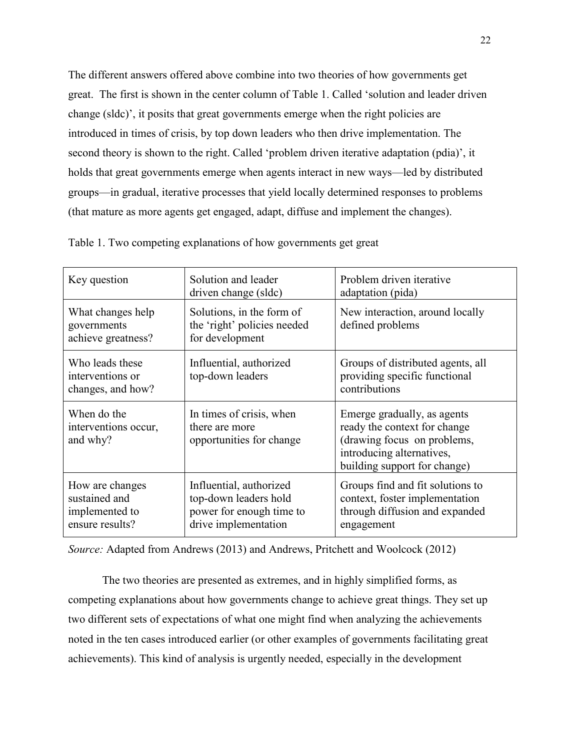The different answers offered above combine into two theories of how governments get great. The first is shown in the center column of Table 1. Called 'solution and leader driven change (sldc)', it posits that great governments emerge when the right policies are introduced in times of crisis, by top down leaders who then drive implementation. The second theory is shown to the right. Called 'problem driven iterative adaptation (pdia)', it holds that great governments emerge when agents interact in new ways—led by distributed groups—in gradual, iterative processes that yield locally determined responses to problems (that mature as more agents get engaged, adapt, diffuse and implement the changes).

| Key question                                                          | Solution and leader<br>driven change (sldc)                                                          | Problem driven iterative<br>adaptation (pida)                                                                                                           |
|-----------------------------------------------------------------------|------------------------------------------------------------------------------------------------------|---------------------------------------------------------------------------------------------------------------------------------------------------------|
| What changes help<br>governments<br>achieve greatness?                | Solutions, in the form of<br>the 'right' policies needed<br>for development                          | New interaction, around locally<br>defined problems                                                                                                     |
| Who leads these<br>interventions or<br>changes, and how?              | Influential, authorized<br>top-down leaders                                                          | Groups of distributed agents, all<br>providing specific functional<br>contributions                                                                     |
| When do the<br>interventions occur,<br>and why?                       | In times of crisis, when<br>there are more<br>opportunities for change                               | Emerge gradually, as agents<br>ready the context for change<br>(drawing focus on problems,<br>introducing alternatives,<br>building support for change) |
| How are changes<br>sustained and<br>implemented to<br>ensure results? | Influential, authorized<br>top-down leaders hold<br>power for enough time to<br>drive implementation | Groups find and fit solutions to<br>context, foster implementation<br>through diffusion and expanded<br>engagement                                      |

Table 1. Two competing explanations of how governments get great

*Source:* Adapted from Andrews (2013) and Andrews, Pritchett and Woolcock (2012)

The two theories are presented as extremes, and in highly simplified forms, as competing explanations about how governments change to achieve great things. They set up two different sets of expectations of what one might find when analyzing the achievements noted in the ten cases introduced earlier (or other examples of governments facilitating great achievements). This kind of analysis is urgently needed, especially in the development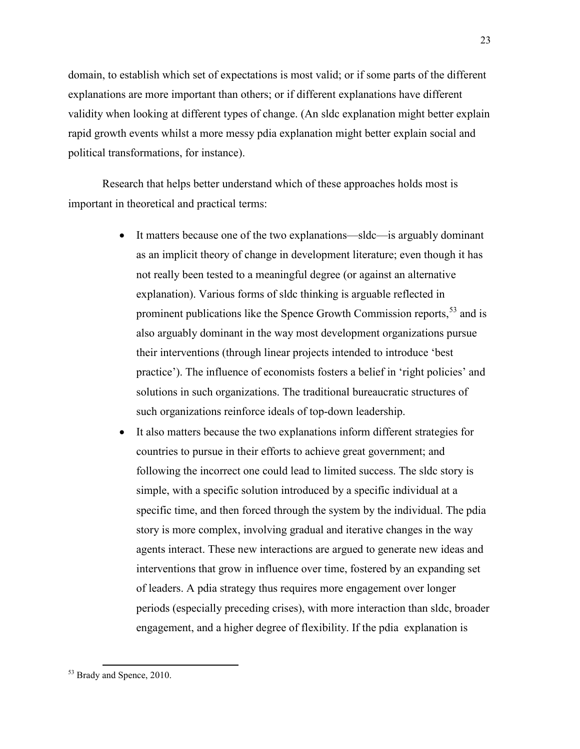domain, to establish which set of expectations is most valid; or if some parts of the different explanations are more important than others; or if different explanations have different validity when looking at different types of change. (An sldc explanation might better explain rapid growth events whilst a more messy pdia explanation might better explain social and political transformations, for instance).

Research that helps better understand which of these approaches holds most is important in theoretical and practical terms:

- It matters because one of the two explanations—sldc—is arguably dominant as an implicit theory of change in development literature; even though it has not really been tested to a meaningful degree (or against an alternative explanation). Various forms of sldc thinking is arguable reflected in prominent publications like the Spence Growth Commission reports, <sup>53</sup> and is also arguably dominant in the way most development organizations pursue their interventions (through linear projects intended to introduce 'best practice'). The influence of economists fosters a belief in 'right policies' and solutions in such organizations. The traditional bureaucratic structures of such organizations reinforce ideals of top-down leadership.
- It also matters because the two explanations inform different strategies for countries to pursue in their efforts to achieve great government; and following the incorrect one could lead to limited success. The sldc story is simple, with a specific solution introduced by a specific individual at a specific time, and then forced through the system by the individual. The pdia story is more complex, involving gradual and iterative changes in the way agents interact. These new interactions are argued to generate new ideas and interventions that grow in influence over time, fostered by an expanding set of leaders. A pdia strategy thus requires more engagement over longer periods (especially preceding crises), with more interaction than sldc, broader engagement, and a higher degree of flexibility. If the pdia explanation is

<span id="page-24-0"></span><sup>&</sup>lt;sup>53</sup> Brady and Spence, 2010.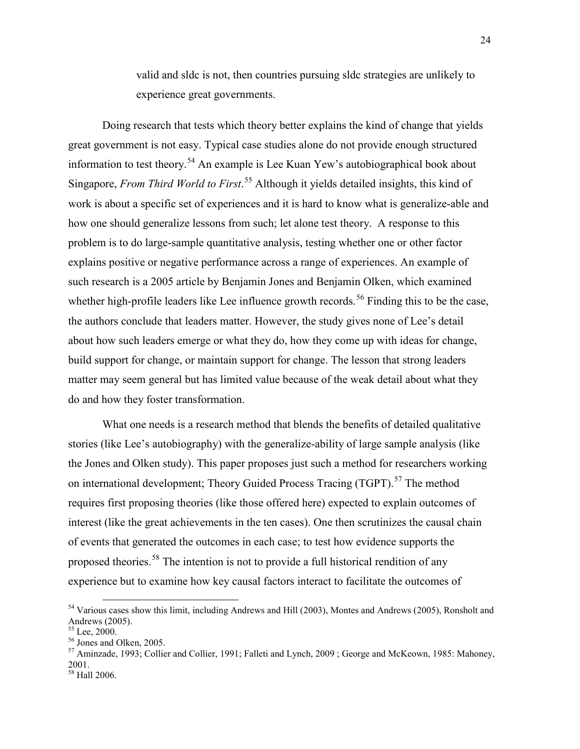valid and sldc is not, then countries pursuing sldc strategies are unlikely to experience great governments.

Doing research that tests which theory better explains the kind of change that yields great government is not easy. Typical case studies alone do not provide enough structured information to test theory.<sup>54</sup> An example is Lee Kuan Yew's autobiographical book about Singapore, *From Third World to First*. [55](#page-25-1) Although it yields detailed insights, this kind of work is about a specific set of experiences and it is hard to know what is generalize-able and how one should generalize lessons from such; let alone test theory. A response to this problem is to do large-sample quantitative analysis, testing whether one or other factor explains positive or negative performance across a range of experiences. An example of such research is a 2005 article by Benjamin Jones and Benjamin Olken, which examined whether high-profile leaders like Lee influence growth records.<sup>56</sup> Finding this to be the case, the authors conclude that leaders matter. However, the study gives none of Lee's detail about how such leaders emerge or what they do, how they come up with ideas for change, build support for change, or maintain support for change. The lesson that strong leaders matter may seem general but has limited value because of the weak detail about what they do and how they foster transformation.

What one needs is a research method that blends the benefits of detailed qualitative stories (like Lee's autobiography) with the generalize-ability of large sample analysis (like the Jones and Olken study). This paper proposes just such a method for researchers working on international development; Theory Guided Process Tracing (TGPT).<sup>57</sup> The method requires first proposing theories (like those offered here) expected to explain outcomes of interest (like the great achievements in the ten cases). One then scrutinizes the causal chain of events that generated the outcomes in each case; to test how evidence supports the proposed theories.<sup>58</sup> The intention is not to provide a full historical rendition of any experience but to examine how key causal factors interact to facilitate the outcomes of

<span id="page-25-0"></span><sup>&</sup>lt;sup>54</sup> Various cases show this limit, including Andrews and Hill (2003), Montes and Andrews (2005), Ronsholt and Andrews (2005).<br><sup>55</sup> Lee. 2000.

<span id="page-25-1"></span>

<span id="page-25-3"></span><span id="page-25-2"></span><sup>&</sup>lt;sup>56</sup> Jones and Olken, 2005.<br><sup>57</sup> Aminzade, 1993; Collier and Collier, 1991; Falleti and Lynch, 2009 ; George and McKeown, 1985: Mahoney, 2001.

<span id="page-25-4"></span><sup>&</sup>lt;sup>58</sup> Hall 2006.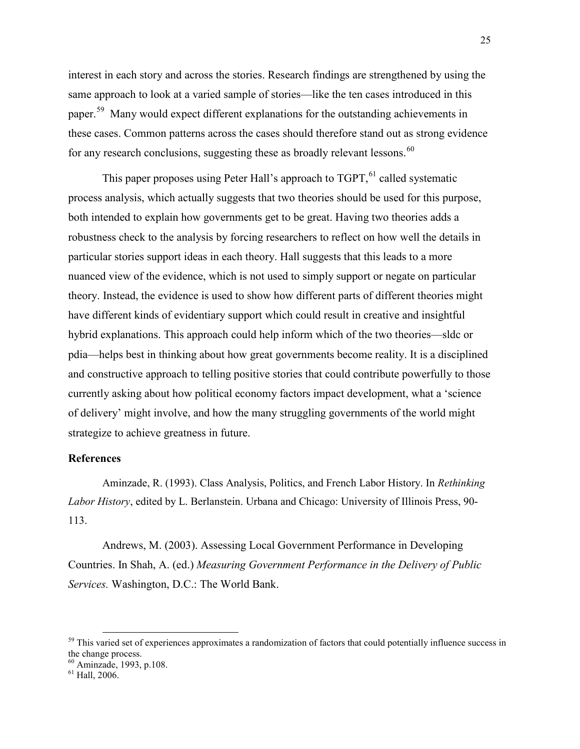interest in each story and across the stories. Research findings are strengthened by using the same approach to look at a varied sample of stories—like the ten cases introduced in this paper.[59](#page-26-0) Many would expect different explanations for the outstanding achievements in these cases. Common patterns across the cases should therefore stand out as strong evidence for any research conclusions, suggesting these as broadly relevant lessons.<sup>[60](#page-26-1)</sup>

This paper proposes using Peter Hall's approach to  $TGPT$ , <sup>[61](#page-26-2)</sup> called systematic process analysis, which actually suggests that two theories should be used for this purpose, both intended to explain how governments get to be great. Having two theories adds a robustness check to the analysis by forcing researchers to reflect on how well the details in particular stories support ideas in each theory. Hall suggests that this leads to a more nuanced view of the evidence, which is not used to simply support or negate on particular theory. Instead, the evidence is used to show how different parts of different theories might have different kinds of evidentiary support which could result in creative and insightful hybrid explanations. This approach could help inform which of the two theories—sldc or pdia—helps best in thinking about how great governments become reality. It is a disciplined and constructive approach to telling positive stories that could contribute powerfully to those currently asking about how political economy factors impact development, what a 'science of delivery' might involve, and how the many struggling governments of the world might strategize to achieve greatness in future.

#### **References**

Aminzade, R. (1993). Class Analysis, Politics, and French Labor History. In *Rethinking Labor History*, edited by L. Berlanstein. Urbana and Chicago: University of Illinois Press, 90- 113.

Andrews, M. (2003). Assessing Local Government Performance in Developing Countries. In Shah, A. (ed.) *Measuring Government Performance in the Delivery of Public Services.* Washington, D.C.: The World Bank.

<span id="page-26-0"></span><sup>&</sup>lt;sup>59</sup> This varied set of experiences approximates a randomization of factors that could potentially influence success in the change process.

<span id="page-26-1"></span> $^{60}$  Aminzade, 1993, p.108.<br> $^{61}$  Hall, 2006.

<span id="page-26-2"></span>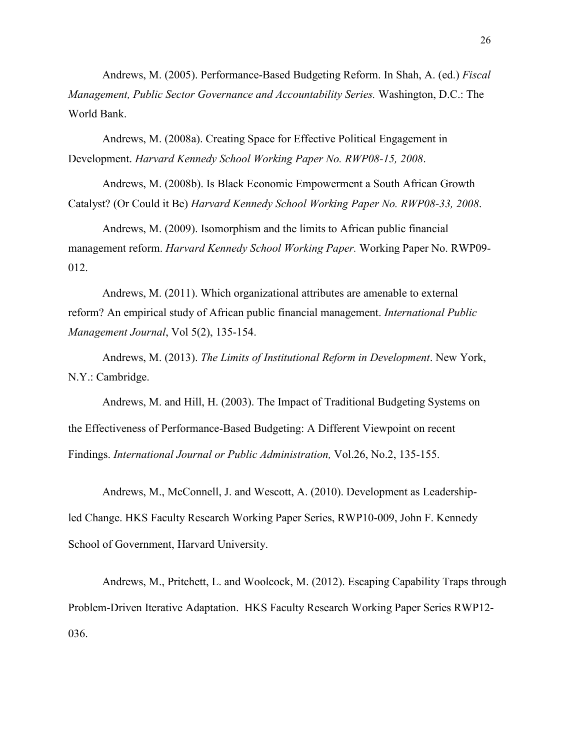Andrews, M. (2005). Performance-Based Budgeting Reform. In Shah, A. (ed.) *Fiscal Management, Public Sector Governance and Accountability Series.* Washington, D.C.: The World Bank.

Andrews, M. (2008a). Creating Space for Effective Political Engagement in Development. *Harvard Kennedy School Working Paper No. RWP08-15, 2008*.

Andrews, M. (2008b). Is Black Economic Empowerment a South African Growth Catalyst? (Or Could it Be) *Harvard Kennedy School Working Paper No. RWP08-33, 2008*.

Andrews, M. (2009). Isomorphism and the limits to African public financial management reform. *Harvard Kennedy School Working Paper.* Working Paper No. RWP09- 012.

Andrews, M. (2011). Which organizational attributes are amenable to external reform? An empirical study of African public financial management. *International Public Management Journal*, Vol 5(2), 135-154.

Andrews, M. (2013). *The Limits of Institutional Reform in Development*. New York, N.Y.: Cambridge.

Andrews, M. and Hill, H. (2003). The Impact of Traditional Budgeting Systems on the Effectiveness of Performance-Based Budgeting: A Different Viewpoint on recent Findings. *International Journal or Public Administration,* Vol.26, No.2, 135-155.

Andrews, M., McConnell, J. and Wescott, A. (2010). Development as Leadershipled Change. HKS Faculty Research Working Paper Series, RWP10-009, John F. Kennedy School of Government, Harvard University.

Andrews, M., Pritchett, L. and Woolcock, M. (2012). Escaping Capability Traps through Problem-Driven Iterative Adaptation. HKS Faculty Research Working Paper Series RWP12- 036.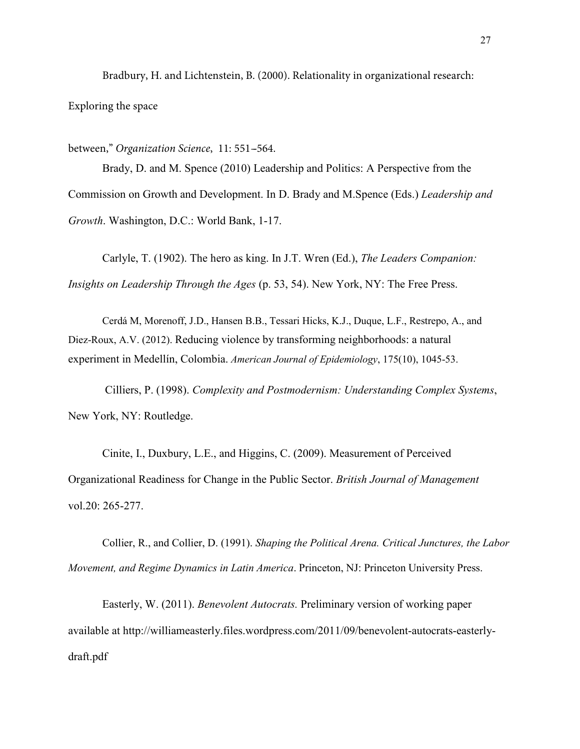Bradbury, H. and Lichtenstein, B. (2000). Relationality in organizational research: Exploring the space

between," Organization Science, 11: 551-564.

Brady, D. and M. Spence (2010) Leadership and Politics: A Perspective from the Commission on Growth and Development. In D. Brady and M.Spence (Eds.) *Leadership and Growth*. Washington, D.C.: World Bank, 1-17.

Carlyle, T. (1902). The hero as king. In J.T. Wren (Ed.), *The Leaders Companion: Insights on Leadership Through the Ages* (p. 53, 54). New York, NY: The Free Press.

[Cerdá M,](http://www.ncbi.nlm.nih.gov/pubmed?term=Cerd%C3%A1%20M%5BAuthor%5D&cauthor=true&cauthor_uid=22472117) [Morenoff, J.D.](http://www.ncbi.nlm.nih.gov/pubmed?term=Morenoff%20JD%5BAuthor%5D&cauthor=true&cauthor_uid=22472117), [Hansen B.B.](http://www.ncbi.nlm.nih.gov/pubmed?term=Hansen%20BB%5BAuthor%5D&cauthor=true&cauthor_uid=22472117), [Tessari Hicks, K.J.](http://www.ncbi.nlm.nih.gov/pubmed?term=Tessari%20Hicks%20KJ%5BAuthor%5D&cauthor=true&cauthor_uid=22472117), [Duque, L.F.](http://www.ncbi.nlm.nih.gov/pubmed?term=Duque%20LF%5BAuthor%5D&cauthor=true&cauthor_uid=22472117), [Restrepo, A.](http://www.ncbi.nlm.nih.gov/pubmed?term=Restrepo%20A%5BAuthor%5D&cauthor=true&cauthor_uid=22472117), and [Diez-Roux, A.V.](http://www.ncbi.nlm.nih.gov/pubmed?term=Diez-Roux%20AV%5BAuthor%5D&cauthor=true&cauthor_uid=22472117) (2012). Reducing violence by transforming neighborhoods: a natural experiment in Medellín, Colombia. *American Journal of Epidemiology*, 175(10), 1045-53.

 Cilliers, P. (1998). *Complexity and Postmodernism: Understanding Complex Systems*, New York, NY: Routledge.

Cinite, I., Duxbury, L.E., and Higgins, C. (2009). Measurement of Perceived Organizational Readiness for Change in the Public Sector. *British Journal of Management*  vol.20: 265-277.

Collier, R., and Collier, D. (1991). *Shaping the Political Arena. Critical Junctures, the Labor Movement, and Regime Dynamics in Latin America*. Princeton, NJ: Princeton University Press.

Easterly, W. (2011). *Benevolent Autocrats.* Preliminary version of working paper available at http://williameasterly.files.wordpress.com/2011/09/benevolent-autocrats-easterlydraft.pdf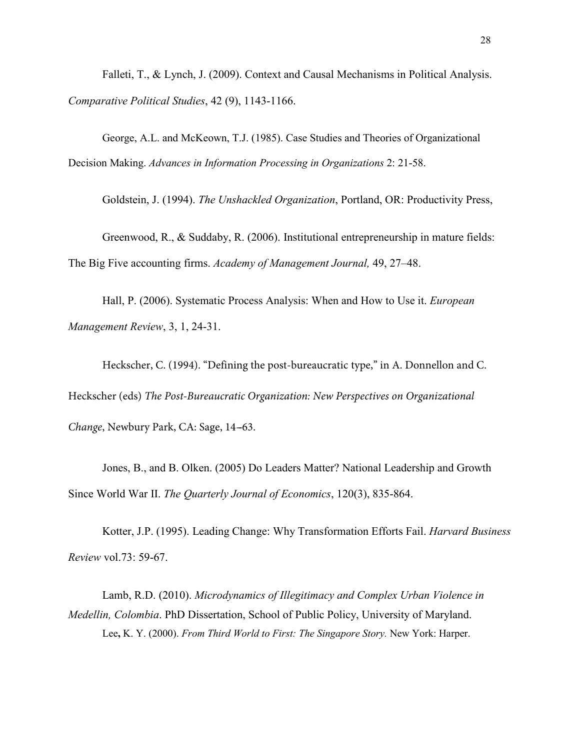Falleti, T., & Lynch, J. (2009). Context and Causal Mechanisms in Political Analysis. *Comparative Political Studies*, 42 (9), 1143-1166.

George, A.L. and McKeown, T.J. (1985). Case Studies and Theories of Organizational Decision Making. *Advances in Information Processing in Organizations* 2: 21-58.

Goldstein, J. (1994). *The Unshackled Organization*, Portland, OR: Productivity Press,

Greenwood, R., & Suddaby, R. (2006). Institutional entrepreneurship in mature fields: The Big Five accounting firms. *Academy of Management Journal,* 49, 27–48.

Hall, P. (2006). Systematic Process Analysis: When and How to Use it. *European Management Review*, 3, 1, 24-31.

Heckscher, C. (1994). "Defining the post-bureaucratic type," in A. Donnellon and C. Heckscher (eds) *The Post-Bureaucratic Organization: New Perspectives on Organizational Change*, Newbury Park, CA: Sage, 14–63.

Jones, B., and B. Olken. (2005) Do Leaders Matter? National Leadership and Growth Since World War II. *The Quarterly Journal of Economics*, 120(3), 835-864.

Kotter, J.P. (1995). Leading Change: Why Transformation Efforts Fail. *Harvard Business Review* vol.73: 59-67.

Lamb, R.D. (2010). *Microdynamics of Illegitimacy and Complex Urban Violence in Medellin, Colombia*. PhD Dissertation, School of Public Policy, University of Maryland. Lee**,** K. Y. (2000). *From Third World to First: The Singapore Story.* New York: Harper.